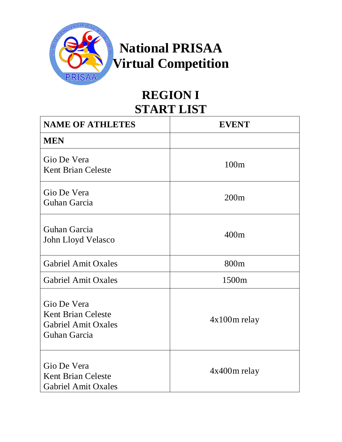

## **REGION I START LIST**

| <b>NAME OF ATHLETES</b>                                                                | <b>EVENT</b>   |
|----------------------------------------------------------------------------------------|----------------|
| <b>MEN</b>                                                                             |                |
| Gio De Vera<br><b>Kent Brian Celeste</b>                                               | 100m           |
| Gio De Vera<br>Guhan Garcia                                                            | 200m           |
| Guhan Garcia<br>John Lloyd Velasco                                                     | 400m           |
| <b>Gabriel Amit Oxales</b>                                                             | 800m           |
| <b>Gabriel Amit Oxales</b>                                                             | 1500m          |
| Gio De Vera<br><b>Kent Brian Celeste</b><br><b>Gabriel Amit Oxales</b><br>Guhan Garcia | $4x100m$ relay |
| Gio De Vera<br><b>Kent Brian Celeste</b><br><b>Gabriel Amit Oxales</b>                 | 4x400m relay   |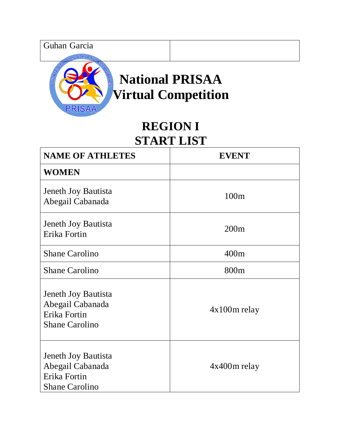Guhan Garcia



# **National PRISAA Virtual Competition**

## **REGION I START LIST**

| <b>NAME OF ATHLETES</b>                                                          | <b>EVENT</b>     |
|----------------------------------------------------------------------------------|------------------|
| <b>WOMEN</b>                                                                     |                  |
| Jeneth Joy Bautista<br>Abegail Cabanada                                          | 100m             |
| Jeneth Joy Bautista<br>Erika Fortin                                              | 200m             |
| <b>Shane Carolino</b>                                                            | 400m             |
| <b>Shane Carolino</b>                                                            | 800 <sub>m</sub> |
| Jeneth Joy Bautista<br>Abegail Cabanada<br>Erika Fortin<br><b>Shane Carolino</b> | $4x100m$ relay   |
| Jeneth Joy Bautista<br>Abegail Cabanada<br>Erika Fortin<br><b>Shane Carolino</b> | $4x400m$ relay   |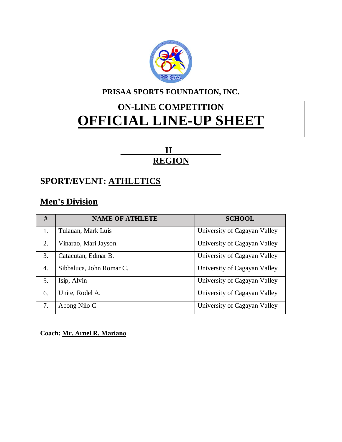

#### **PRISAA SPORTS FOUNDATION, INC.**

## **ON-LINE COMPETITION OFFICIAL LINE-UP SHEET**

#### **\_\_\_\_\_\_\_\_\_\_II\_\_\_\_\_\_\_\_\_\_\_ REGION**

#### **SPORT/EVENT: ATHLETICS**

### **Men's Division**

| #  | <b>NAME OF ATHLETE</b>   | <b>SCHOOL</b>                |
|----|--------------------------|------------------------------|
| 1. | Tulauan, Mark Luis       | University of Cagayan Valley |
| 2. | Vinarao, Mari Jayson.    | University of Cagayan Valley |
| 3. | Catacutan, Edmar B.      | University of Cagayan Valley |
| 4. | Sibbaluca, John Romar C. | University of Cagayan Valley |
| 5. | Isip, Alvin              | University of Cagayan Valley |
| 6. | Unite, Rodel A.          | University of Cagayan Valley |
| 7. | Abong Nilo C             | University of Cagayan Valley |

**Coach: Mr. Arnel R. Mariano**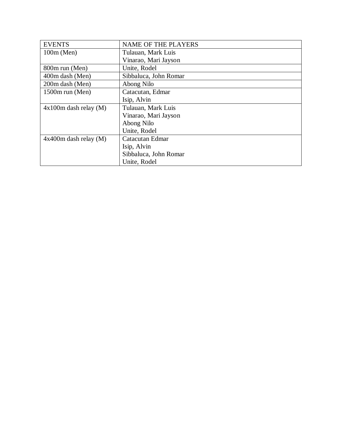| <b>EVENTS</b>           | <b>NAME OF THE PLAYERS</b> |
|-------------------------|----------------------------|
| $100m$ (Men)            | Tulauan, Mark Luis         |
|                         | Vinarao, Mari Jayson       |
| 800m run (Men)          | Unite, Rodel               |
| 400m dash (Men)         | Sibbaluca, John Romar      |
| 200m dash (Men)         | Abong Nilo                 |
| $1500m$ run (Men)       | Catacutan, Edmar           |
|                         | Isip, Alvin                |
| $4x100m$ dash relay (M) | Tulauan, Mark Luis         |
|                         | Vinarao, Mari Jayson       |
|                         | Abong Nilo                 |
|                         | Unite, Rodel               |
| $4x400m$ dash relay (M) | Catacutan Edmar            |
|                         | Isip, Alvin                |
|                         | Sibbaluca, John Romar      |
|                         | Unite, Rodel               |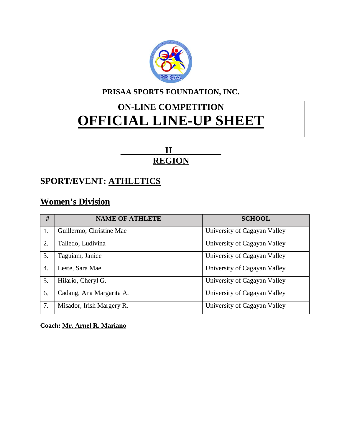

#### **PRISAA SPORTS FOUNDATION, INC.**

## **ON-LINE COMPETITION OFFICIAL LINE-UP SHEET**

#### **\_\_\_\_\_\_\_\_\_\_II\_\_\_\_\_\_\_\_\_\_\_ REGION**

#### **SPORT/EVENT: ATHLETICS**

#### **Women's Division**

| #  | <b>NAME OF ATHLETE</b>    | <b>SCHOOL</b>                |
|----|---------------------------|------------------------------|
| 1. | Guillermo, Christine Mae  | University of Cagayan Valley |
| 2. | Talledo, Ludivina         | University of Cagayan Valley |
| 3. | Taguiam, Janice           | University of Cagayan Valley |
| 4. | Leste, Sara Mae           | University of Cagayan Valley |
| 5. | Hilario, Cheryl G.        | University of Cagayan Valley |
| 6. | Cadang, Ana Margarita A.  | University of Cagayan Valley |
| 7. | Misador, Irish Margery R. | University of Cagayan Valley |

#### **Coach: Mr. Arnel R. Mariano**